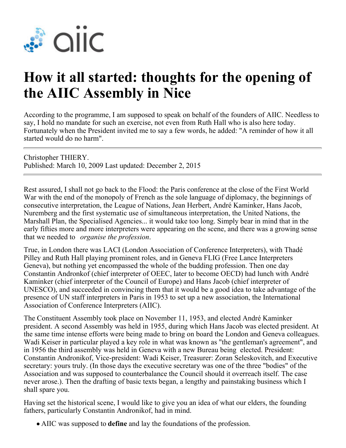

## **How it all started: thoughts for the opening of the AIIC Assembly in Nice**

According to the programme, I am supposed to speak on behalf of the founders of AIIC. Needless to say, I hold no mandate for such an exercise, not even from Ruth Hall who is also here today. Fortunately when the President invited me to say a few words, he added: "A reminder of how it all started would do no harm".

Christopher THIERY. Published: March 10, 2009 Last updated: December 2, 2015

Rest assured, I shall not go back to the Flood: the Paris conference at the close of the First World War with the end of the monopoly of French as the sole language of diplomacy, the beginnings of consecutive interpretation, the League of Nations, Jean Herbert, André Kaminker, Hans Jacob, Nuremberg and the first systematic use of simultaneous interpretation, the United Nations, the Marshall Plan, the Specialised Agencies... it would take too long. Simply bear in mind that in the early fifties more and more interpreters were appearing on the scene, and there was a growing sense that we needed to *organise the profession*.

True, in London there was LACI (London Association of Conference Interpreters), with Thadé Pilley and Ruth Hall playing prominent roles, and in Geneva FLIG (Free Lance Interpreters Geneva), but nothing yet encompassed the whole of the budding profession. Then one day Constantin Andronkof (chief interpreter of OEEC, later to become OECD) had lunch with André Kaminker (chief interpreter of the Council of Europe) and Hans Jacob (chief interpreter of UNESCO), and succeeded in convincing them that it would be a good idea to take advantage of the presence of UN staff interpreters in Paris in 1953 to set up a new association, the International Association of Conference Interpreters (AIIC).

The Constituent Assembly took place on November 11, 1953, and elected André Kaminker president. A second Assembly was held in 1955, during which Hans Jacob was elected president. At the same time intense efforts were being made to bring on board the London and Geneva colleagues. Wadi Keiser in particular played a key role in what was known as "the gentleman's agreement", and in 1956 the third assembly was held in Geneva with a new Bureau being elected. President: Constantin Andronikof, Vice-president: Wadi Keiser, Treasurer: Zoran Seleskovitch, and Executive secretary: yours truly. (In those days the executive secretary was one of the three "bodies" of the Association and was supposed to counterbalance the Council should it overreach itself. The case never arose.). Then the drafting of basic texts began, a lengthy and painstaking business which I shall spare you.

Having set the historical scene, I would like to give you an idea of what our elders, the founding fathers, particularly Constantin Andronikof, had in mind.

AIIC was supposed to **define** and lay the foundations of the profession.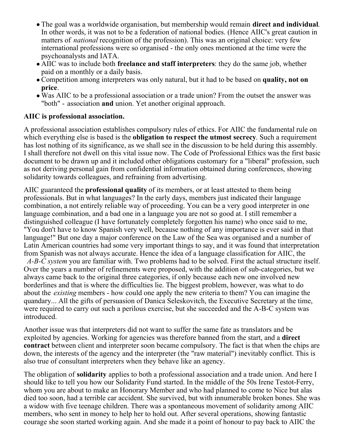- The goal was a worldwide organisation, but membership would remain **direct and individual**. In other words, it was not to be a federation of national bodies. (Hence AIIC's great caution in matters of *national* recognition of the profession). This was an original choice: very few international professions were so organised - the only ones mentioned at the time were the psychoanalysts and IATA.
- AIIC was to include both **freelance and staff interpreters**: they do the same job, whether paid on a monthly or a daily basis.
- Competition among interpreters was only natural, but it had to be based on **quality, not on price**.
- Was AIIC to be a professional association or a trade union? From the outset the answer was "both" - association **and** union. Yet another original approach.

## **AIIC is professional association.**

A professional association establishes compulsory rules of ethics. For AIIC the fundamental rule on which everything else is based is the **obligation to respect the utmost secrecy**. Such a requirement has lost nothing of its significance, as we shall see in the discussion to be held during this assembly. I shall therefore not dwell on this vital issue now. The Code of Professional Ethics was the first basic document to be drawn up and it included other obligations customary for a "liberal" profession, such as not deriving personal gain from confidential information obtained during conferences, showing solidarity towards colleagues, and refraining from advertising.

AIIC guaranteed the **professional quality** of its members, or at least attested to them being professionals. But in what languages? In the early days, members just indicated their language combination, a not entirely reliable way of proceeding. You can be a very good interpreter in one language combination, and a bad one in a language you are not so good at. I still remember a distinguished colleague (I have fortunately completely forgotten his name) who once said to me, "You don't have to know Spanish very well, because nothing of any importance is ever said in that language!" But one day a major conference on the Law of the Sea was organised and a number of Latin American countries had some very important things to say, and it was found that interpretation from Spanish was not always accurate. Hence the idea of a language classification for AIIC, the *A-B-C system* you are familiar with. Two problems had to be solved. First the actual structure itself. Over the years a number of refinements were proposed, with the addition of sub-categories, but we always came back to the original three categories, if only because each new one involved new borderlines and that is where the difficulties lie. The biggest problem, however, was what to do about the *existing* members - how could one apply the new criteria to them? You can imagine the quandary... All the gifts of persuasion of Danica Seleskovitch, the Executive Secretary at the time, were required to carry out such a perilous exercise, but she succeeded and the A-B-C system was introduced.

Another issue was that interpreters did not want to suffer the same fate as translators and be exploited by agencies. Working for agencies was therefore banned from the start, and a **direct contract** between client and interpreter soon became compulsory. The fact is that when the chips are down, the interests of the agency and the interpreter (the "raw material") inevitably conflict. This is also true of consultant interpreters when they behave like an agency.

The obligation of **solidarity** applies to both a professional association and a trade union. And here I should like to tell you how our Solidarity Fund started. In the middle of the 50s Irene Testot-Ferry, whom you are about to make an Honorary Member and who had planned to come to Nice but alas died too soon, had a terrible car accident. She survived, but with innumerable broken bones. She was a widow with five teenage children. There was a spontaneous movement of solidarity among AIIC members, who sent in money to help her to hold out. After several operations, showing fantastic courage she soon started working again. And she made it a point of honour to pay back to AIIC the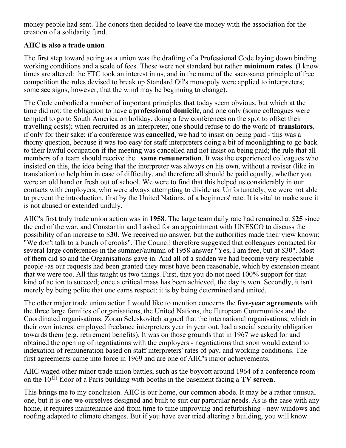money people had sent. The donors then decided to leave the money with the association for the creation of a solidarity fund.

## **AIIC is also a trade union**

The first step toward acting as a union was the drafting of a Professional Code laying down binding working conditions and a scale of fees. These were not standard but rather **minimum rates**. (I know times are altered: the FTC took an interest in us, and in the name of the sacrosanct principle of free competition the rules devised to break up Standard Oil's monopoly were applied to interpreters; some see signs, however, that the wind may be beginning to change).

The Code embodied a number of important principles that today seem obvious, but which at the time did not: the obligation to have a **professional domicile**, and one only (some colleagues were tempted to go to South America on holiday, doing a few conferences on the spot to offset their travelling costs); when recruited as an interpreter, one should refuse to do the work of **translators**, if only for their sake; if a conference was **cancelled**, we had to insist on being paid - this was a thorny question, because it was too easy for staff interpreters doing a bit of moonlighting to go back to their lawful occupation if the meeting was cancelled and not insist on being paid; the rule that all members of a team should receive the **same remuneration**. It was the experienced colleagues who insisted on this, the idea being that the interpreter was always on his own, without a reviser (like in translation) to help him in case of difficulty, and therefore all should be paid equally, whether you were an old hand or fresh out of school. We were to find that this helped us considerably in our contacts with employers, who were always attempting to divide us. Unfortunately, we were not able to prevent the introduction, first by the United Nations, of a beginners' rate. It is vital to make sure it is not abused or extended unduly.

AIIC's first truly trade union action was in **1958**. The large team daily rate had remained at \$**25** since the end of the war, and Constantin and I asked for an appointment with UNESCO to discuss the possibility of an increase to \$**30**. We received no answer, but the authorities made their view known: "We don't talk to a bunch of crooks". The Council therefore suggested that colleagues contacted for several large conferences in the summer/autumn of 1958 answer "Yes, I am free, but at \$30". Most of them did so and the Organisations gave in. And all of a sudden we had become very respectable people -as our requests had been granted they must have been reasonable, which by extension meant that we were too. All this taught us two things. First, that you do not need 100% support for that kind of action to succeed; once a critical mass has been achieved, the day is won. Secondly, it isn't merely by being polite that one earns respect; it is by being determined and united.

The other major trade union action I would like to mention concerns the **five-year agreements** with the three large families of organisations, the United Nations, the European Communities and the Coordinated organisations. Zoran Seleskovitch argued that the international organisations, which in their own interest employed freelance interpreters year in year out, had a social security obligation towards them (e.g. retirement benefits). It was on those grounds that in 1967 we asked for and obtained the opening of negotiations with the employers - negotiations that soon would extend to indexation of remuneration based on staff interpreters' rates of pay, and working conditions. The first agreements came into force in 1969 and are one of AIIC's major achievements.

AIIC waged other minor trade union battles, such as the boycott around 1964 of a conference room on the  $10<sup>th</sup>$  floor of a Paris building with booths in the basement facing a **TV screen**.

This brings me to my conclusion. AIIC is our home, our common abode. It may be a rather unusual one, but it is one we ourselves designed and built to suit our particular needs. As is the case with any home, it requires maintenance and from time to time improving and refurbishing - new windows and roofing adapted to climate changes. But if you have ever tried altering a building, you will know